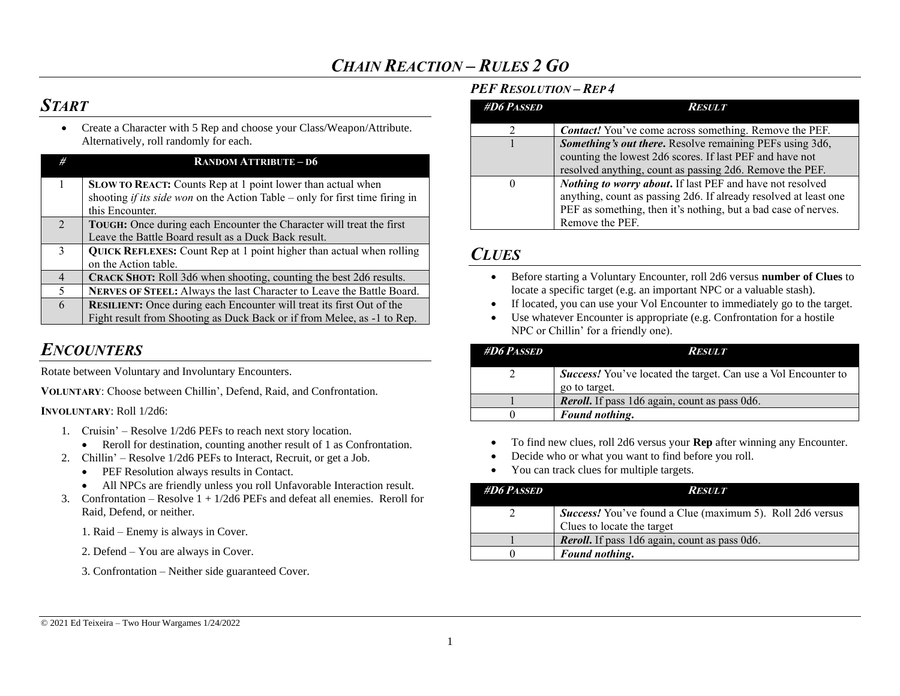## *START*

• Create a Character with 5 Rep and choose your Class/Weapon/Attribute. Alternatively, roll randomly for each.

| #              | <b>RANDOM ATTRIBUTE-D6</b>                                                                                                                         |
|----------------|----------------------------------------------------------------------------------------------------------------------------------------------------|
|                | SLOW TO REACT: Counts Rep at 1 point lower than actual when<br>shooting <i>if its side won</i> on the Action Table – only for first time firing in |
|                | this Encounter.                                                                                                                                    |
| $\mathcal{L}$  | TOUGH: Once during each Encounter the Character will treat the first                                                                               |
|                | Leave the Battle Board result as a Duck Back result.                                                                                               |
| $\mathbf{3}$   | QUICK REFLEXES: Count Rep at 1 point higher than actual when rolling                                                                               |
|                | on the Action table.                                                                                                                               |
| $\overline{4}$ | CRACK SHOT: Roll 3d6 when shooting, counting the best 2d6 results.                                                                                 |
| 5              | NERVES OF STEEL: Always the last Character to Leave the Battle Board.                                                                              |
| 6              | <b>RESILIENT:</b> Once during each Encounter will treat its first Out of the                                                                       |
|                | Fight result from Shooting as Duck Back or if from Melee, as -1 to Rep.                                                                            |

### *ENCOUNTERS*

Rotate between Voluntary and Involuntary Encounters.

**VOLUNTARY**: Choose between Chillin', Defend, Raid, and Confrontation.

**INVOLUNTARY**: Roll 1/2d6:

- 1. Cruisin' Resolve 1/2d6 PEFs to reach next story location.
	- Reroll for destination, counting another result of 1 as Confrontation.
- 2. Chillin' Resolve 1/2d6 PEFs to Interact, Recruit, or get a Job.
	- PEF Resolution always results in Contact.
	- All NPCs are friendly unless you roll Unfavorable Interaction result.
- 3. Confrontation Resolve  $1 + \frac{1}{2d6}$  PEFs and defeat all enemies. Reroll for Raid, Defend, or neither.
	- 1. Raid Enemy is always in Cover.
	- 2. Defend You are always in Cover.

3. Confrontation – Neither side guaranteed Cover.

#### *PEF RESOLUTION – REP 4*

| <b>#D6 PASSED</b> | <i><b>RESULT</b></i>                                                                                                                                                                                               |
|-------------------|--------------------------------------------------------------------------------------------------------------------------------------------------------------------------------------------------------------------|
|                   | <b>Contact!</b> You've come across something. Remove the PEF.                                                                                                                                                      |
|                   | Something's out there. Resolve remaining PEFs using 3d6,<br>counting the lowest 2d6 scores. If last PEF and have not<br>resolved anything, count as passing 2d6. Remove the PEF.                                   |
| $\theta$          | Nothing to worry about. If last PEF and have not resolved<br>anything, count as passing 2d6. If already resolved at least one<br>PEF as something, then it's nothing, but a bad case of nerves.<br>Remove the PEF. |

### *CLUES*

- Before starting a Voluntary Encounter, roll 2d6 versus **number of Clues** to locate a specific target (e.g. an important NPC or a valuable stash).
- If located, you can use your Vol Encounter to immediately go to the target.
- Use whatever Encounter is appropriate (e.g. Confrontation for a hostile NPC or Chillin' for a friendly one).

| <b>#D6 PASSED</b> | Result                                                                                 |
|-------------------|----------------------------------------------------------------------------------------|
|                   | <b>Success!</b> You've located the target. Can use a Vol Encounter to<br>go to target. |
|                   | <b>Reroll.</b> If pass 1d6 again, count as pass 0d6.                                   |
|                   | Found nothing.                                                                         |

- To find new clues, roll 2d6 versus your **Rep** after winning any Encounter.
- Decide who or what you want to find before you roll.
- You can track clues for multiple targets.

| <b>#D6 PASSED</b> | <b>RESULT</b>                                                                                  |
|-------------------|------------------------------------------------------------------------------------------------|
|                   | <b>Success!</b> You've found a Clue (maximum 5). Roll 2d6 versus<br>Clues to locate the target |
|                   | <b>Reroll.</b> If pass 1d6 again, count as pass 0d6.                                           |
|                   | Found nothing.                                                                                 |

#### © 2021 Ed Teixeira – Two Hour Wargames 1/24/2022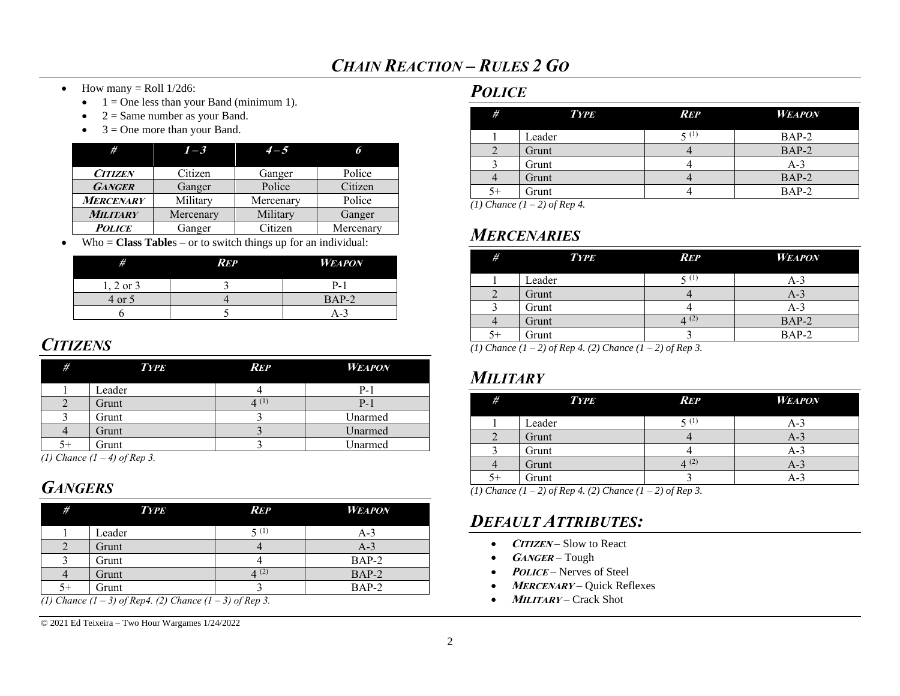- How many  $=$  Roll 1/2d6:
	- $\bullet$  1 = One less than your Band (minimum 1).
	- $2 =$  Same number as your Band.
	- $3 =$ One more than your Band.

| #                | $1 - 3$   | $4 - 5$   | 6         |
|------------------|-----------|-----------|-----------|
| <b>CITIZEN</b>   | Citizen   | Ganger    | Police    |
| <b>GANGER</b>    | Ganger    | Police    | Citizen   |
| <b>MERCENARY</b> | Militarv  | Mercenary | Police    |
| <b>MILITARY</b>  | Mercenary | Military  | Ganger    |
| <b>POLICE</b>    | Ganger    | Citizen   | Mercenary |

• Who = **Class Table**s – or to switch things up for an individual:

| #             | <b>REP</b> | <b>WEAPON</b> |
|---------------|------------|---------------|
| $1, 2$ or $3$ |            | $P-1$         |
| 4 or 5        |            | $BAP-2$       |
|               |            | A-3           |

## <span id="page-1-0"></span>*CITIZENS*

| #  | <b>TYPE</b> | <b>REP</b>        | <b>WEAPON</b> |
|----|-------------|-------------------|---------------|
|    | Leader      |                   | P-1           |
|    | Grunt       | $\varDelta^{(1)}$ | $P-1$         |
|    | Grunt       |                   | Unarmed       |
|    | Grunt       |                   | Unarmed       |
| 5+ | Grunt       |                   | Unarmed       |

*(1) Chance (1 – 4) of Rep 3.*

## *GANGERS*

| # | <b>TYPE</b> | REP            | <b>WEAPON</b> |
|---|-------------|----------------|---------------|
|   | Leader      | 5(1)           | $A-3$         |
|   | Grunt       |                | $A-3$         |
|   | Grunt       |                | $BAP-2$       |
|   | Grunt       | $\Delta^{(2)}$ | BAP-2         |
|   | Grunt       |                | BAP-2         |

*(1) Chance (1 – 3) of Rep4. (2) Chance (1 – 3) of Rep 3.*

© 2021 Ed Teixeira – Two Hour Wargames 1/24/2022

### *POLICE*

| #    | <b>TYPE</b> | <b>REP</b> | <b>WEAPON</b> |
|------|-------------|------------|---------------|
|      | Leader      | 5(1)       | $BAP-2$       |
|      | Grunt       |            | $BAP-2$       |
|      | Grunt       |            | $A-3$         |
|      | Grunt       |            | BAP-2         |
| $5+$ | Grunt       |            | BAP-2         |

*(1) Chance (1 – 2) of Rep 4.*

## *MERCENARIES*

| #    | <b>TYPE</b> | <b>REP</b>     | <b>WEAPON</b> |
|------|-------------|----------------|---------------|
|      | Leader      | 5(1)           | A-3           |
|      | Grunt       |                | $A-3$         |
|      | Grunt       |                | A-3           |
|      | Grunt       | $\Delta^{(2)}$ | BAP-2         |
| $5+$ | Grunt       |                | $BAP-2$       |

*(1) Chance (1 – 2) of Rep 4. (2) Chance (1 – 2) of Rep 3.*

## *MILITARY*

| #  | <b>TYPE</b> | <b>REP</b> | <b>WEAPON</b> |
|----|-------------|------------|---------------|
|    | Leader      | 5(1)       | A-3           |
|    | Grunt       |            | $A-3$         |
|    | Grunt       |            | A-3           |
|    | Grunt       | 4(2)       | $A-3$         |
| 5+ | Grunt       |            | A-3           |

*(1) Chance (1 – 2) of Rep 4. (2) Chance (1 – 2) of Rep 3.*

### *DEFAULT ATTRIBUTES:*

- **CITIZEN** Slow to React
- **<sup>G</sup>ANGER** Tough
- *POLICE* Nerves of Steel
- **MERCENARY** Quick Reflexes
- **<sup>M</sup>ILITARY** Crack Shot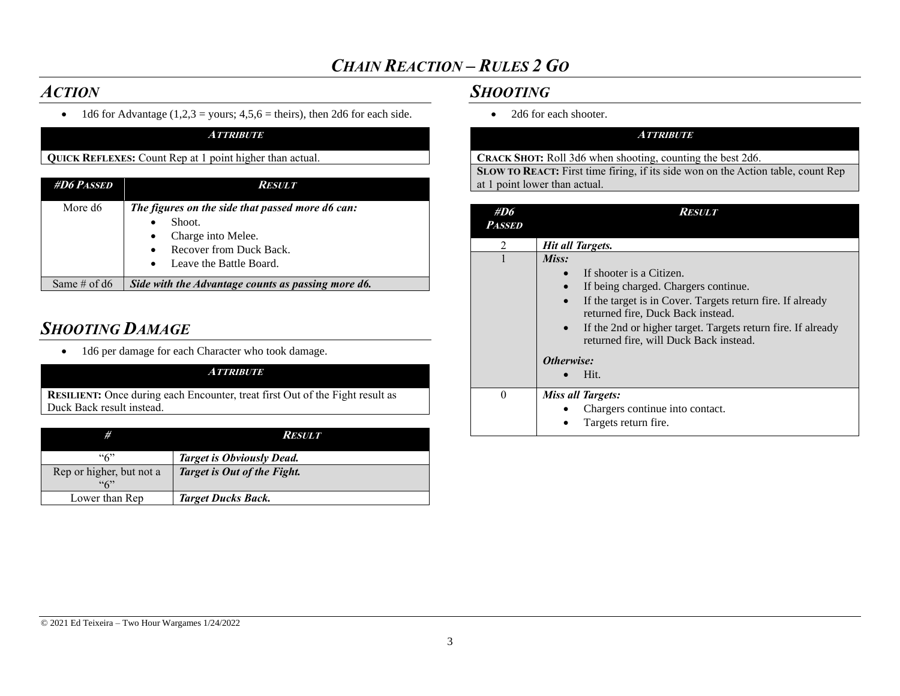### *ACTION*

• 1d6 for Advantage  $(1,2,3 =$ yours;  $4,5,6 =$  theirs), then 2d6 for each side. **ATTRIBUTE**

### **QUICK REFLEXES:** Count Rep at 1 point higher than actual.

| <b>#D6 PASSED</b> | <i>Result</i>                                                                                                                          |
|-------------------|----------------------------------------------------------------------------------------------------------------------------------------|
| More d6           | The figures on the side that passed more d6 can:<br>Shoot.<br>Charge into Melee.<br>Recover from Duck Back.<br>Leave the Battle Board. |
| Same # of $d6$    | Side with the Advantage counts as passing more d6.                                                                                     |

## *SHOOTING DAMAGE*

• 1d6 per damage for each Character who took damage.

#### **ATTRIBUTE**

**RESILIENT:** Once during each Encounter, treat first Out of the Fight result as Duck Back result instead.

| #                               | <i>Result</i>                    |
|---------------------------------|----------------------------------|
| ``6"                            | <b>Target is Obviously Dead.</b> |
| Rep or higher, but not a<br>463 | Target is Out of the Fight.      |
| Lower than Rep                  | <b>Target Ducks Back.</b>        |

### *SHOOTING*

• 2d6 for each shooter.

#### **ATTRIBUTE**

**CRACK SHOT:** Roll 3d6 when shooting, counting the best 2d6.

**SLOW TO REACT:** First time firing, if its side won on the Action table, count Rep at 1 point lower than actual.

| #D6<br><i>Passed</i> | Result                                                                                                                                                                                                                                                                                                           |
|----------------------|------------------------------------------------------------------------------------------------------------------------------------------------------------------------------------------------------------------------------------------------------------------------------------------------------------------|
| $\mathfrak{D}$       | Hit all Targets.                                                                                                                                                                                                                                                                                                 |
|                      | Miss:<br>If shooter is a Citizen.<br>$\bullet$<br>If being charged. Chargers continue.<br>If the target is in Cover. Targets return fire. If already<br>returned fire, Duck Back instead.<br>If the 2nd or higher target. Targets return fire. If already<br>$\bullet$<br>returned fire, will Duck Back instead. |
|                      | Otherwise:<br>Hit.                                                                                                                                                                                                                                                                                               |
| $\Omega$             | <b>Miss all Targets:</b><br>Chargers continue into contact.<br>Targets return fire.                                                                                                                                                                                                                              |

#### © 2021 Ed Teixeira – Two Hour Wargames 1/24/2022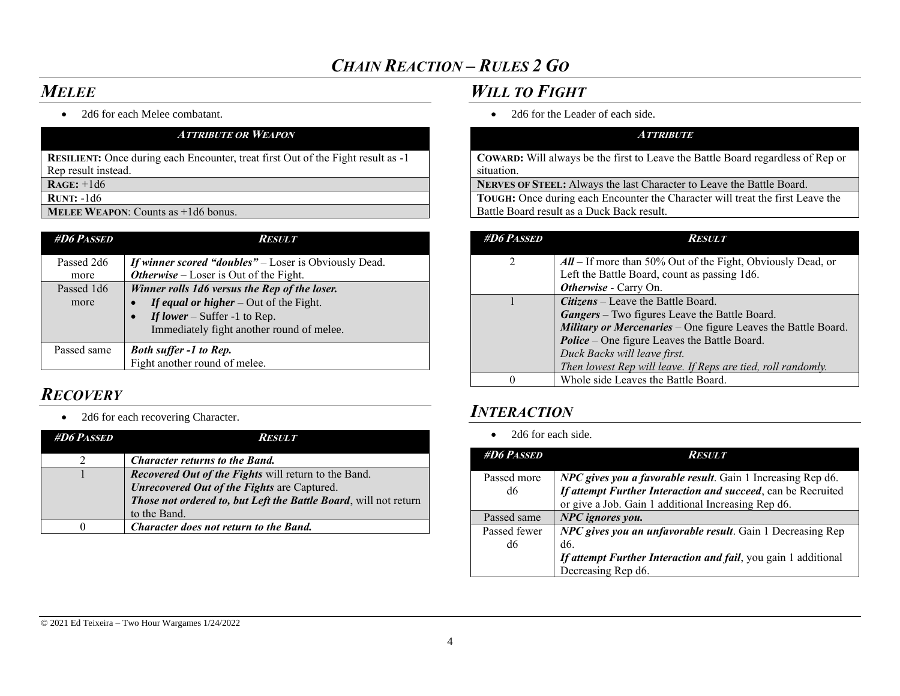## *MELEE*

• 2d6 for each Melee combatant.

| <b>ATTRIBUTE OR WEAPON</b>                                                              |
|-----------------------------------------------------------------------------------------|
| <b>RESILIENT:</b> Once during each Encounter, treat first Out of the Fight result as -1 |
| Rep result instead.                                                                     |
| $RAGE: +1d6$                                                                            |
| <b>RUNT:</b> $-1d6$                                                                     |
| <b>MELEE WEAPON:</b> Counts as $+1d6$ bonus.                                            |

| <b>#D6 PASSED</b> | Result                                                       |
|-------------------|--------------------------------------------------------------|
| Passed 2d6        | <b>If winner scored "doubles"</b> – Loser is Obviously Dead. |
| more              | <b>Otherwise</b> – Loser is Out of the Fight.                |
| Passed 1d6        | Winner rolls 1d6 versus the Rep of the loser.                |
| more              | If equal or higher $-$ Out of the Fight.                     |
|                   | If lower – Suffer -1 to Rep.                                 |
|                   | Immediately fight another round of melee.                    |
| Passed same       | <b>Both suffer -1 to Rep.</b>                                |
|                   | Fight another round of melee.                                |

# *RECOVERY*

• 2d6 for each recovering Character.

| <b>#D6 PASSED</b> | <i><b>RESULT</b></i>                                             |
|-------------------|------------------------------------------------------------------|
|                   | <b>Character returns to the Band.</b>                            |
|                   | Recovered Out of the Fights will return to the Band.             |
|                   | Unrecovered Out of the Fights are Captured.                      |
|                   | Those not ordered to, but Left the Battle Board, will not return |
|                   | to the Band.                                                     |
|                   | Character does not return to the Band.                           |

## *WILL TO FIGHT*

• 2d6 for the Leader of each side.

### **ATTRIBUTE**

**COWARD:** Will always be the first to Leave the Battle Board regardless of Rep or situation.

**NERVES OF STEEL:** Always the last Character to Leave the Battle Board.

**TOUGH:** Once during each Encounter the Character will treat the first Leave the Battle Board result as a Duck Back result.

| <b>#D6 PASSED</b> | <b>RESULT</b>                                                           |
|-------------------|-------------------------------------------------------------------------|
| 2                 | $\mathcal{A}ll$ – If more than 50% Out of the Fight, Obviously Dead, or |
|                   | Left the Battle Board, count as passing 1d6.                            |
|                   | Otherwise - Carry On.                                                   |
|                   | <b>Citizens</b> – Leave the Battle Board.                               |
|                   | <b>Gangers</b> – Two figures Leave the Battle Board.                    |
|                   | <b>Military or Mercenaries</b> – One figure Leaves the Battle Board.    |
|                   | <b>Police</b> – One figure Leaves the Battle Board.                     |
|                   | Duck Backs will leave first.                                            |
|                   | Then lowest Rep will leave. If Reps are tied, roll randomly.            |
|                   | Whole side Leaves the Battle Board.                                     |

### *INTERACTION*

• 2d6 for each side.

| <b>#D6 PASSED</b> | <b>RESULT</b>                                                  |
|-------------------|----------------------------------------------------------------|
| Passed more       | NPC gives you a favorable result. Gain 1 Increasing Rep d6.    |
| d6                | If attempt Further Interaction and succeed, can be Recruited   |
|                   | or give a Job. Gain 1 additional Increasing Rep d6.            |
| Passed same       | NPC ignores you.                                               |
| Passed fewer      | NPC gives you an unfavorable result. Gain 1 Decreasing Rep     |
| d6                | d6.                                                            |
|                   | If attempt Further Interaction and fail, you gain 1 additional |
|                   | Decreasing Rep d6.                                             |

#### © 2021 Ed Teixeira – Two Hour Wargames 1/24/2022